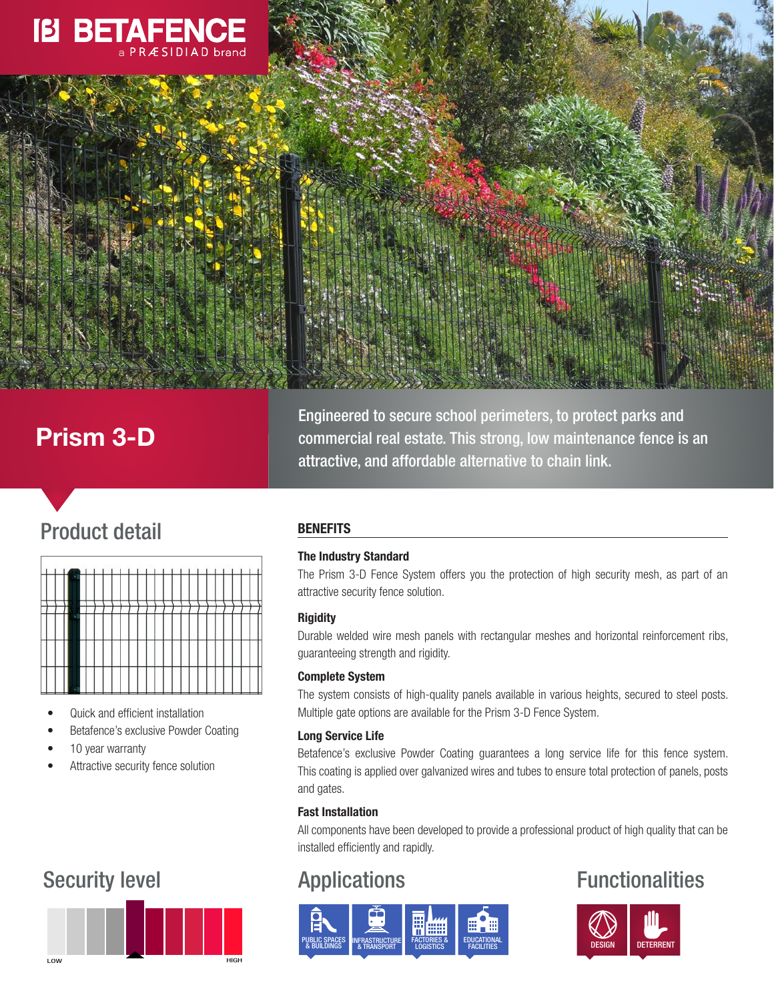

# Prism 3-D

Engineered to secure school perimeters, to protect parks and commercial real estate. This strong, low maintenance fence is an attractive, and affordable alternative to chain link.

# Product detail



- Quick and efficient installation
- Betafence's exclusive Powder Coating
- 10 year warranty
- Attractive security fence solution

# **BENEFITS**

# The Industry Standard

The Prism 3-D Fence System offers you the protection of high security mesh, as part of an attractive security fence solution.

# **Rigidity**

Durable welded wire mesh panels with rectangular meshes and horizontal reinforcement ribs, guaranteeing strength and rigidity.

# Complete System

The system consists of high-quality panels available in various heights, secured to steel posts. Multiple gate options are available for the Prism 3-D Fence System.

# Long Service Life

Betafence's exclusive Powder Coating guarantees a long service life for this fence system. This coating is applied over galvanized wires and tubes to ensure total protection of panels, posts and gates.

# Fast Installation

All components have been developed to provide a professional product of high quality that can be installed efficiently and rapidly.



# Security level **Applications Applications Functionalities**



#### LOW **HIGH**